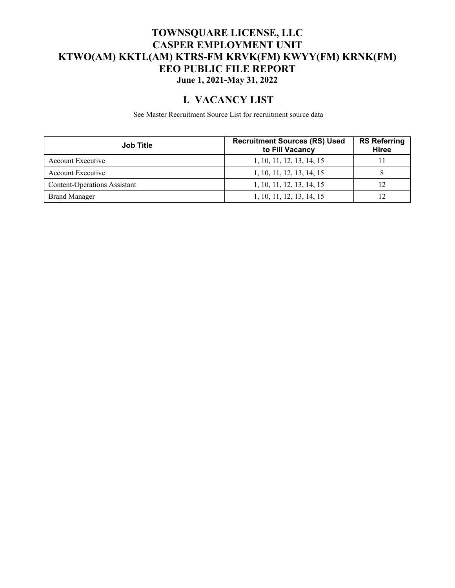#### **TOWNSQUARE LICENSE, LLC CASPER EMPLOYMENT UNIT KTWO(AM) KKTL(AM) KTRS-FM KRVK(FM) KWYY(FM) KRNK(FM) EEO PUBLIC FILE REPORT June 1, 2021-May 31, 2022**

### **I. VACANCY LIST**

See Master Recruitment Source List for recruitment source data

| <b>Job Title</b>                    | <b>Recruitment Sources (RS) Used</b><br>to Fill Vacancy | <b>RS Referring</b><br><b>Hiree</b> |
|-------------------------------------|---------------------------------------------------------|-------------------------------------|
| <b>Account Executive</b>            | 1, 10, 11, 12, 13, 14, 15                               |                                     |
| <b>Account Executive</b>            | 1, 10, 11, 12, 13, 14, 15                               |                                     |
| <b>Content-Operations Assistant</b> | 1, 10, 11, 12, 13, 14, 15                               |                                     |
| <b>Brand Manager</b>                | 1, 10, 11, 12, 13, 14, 15                               |                                     |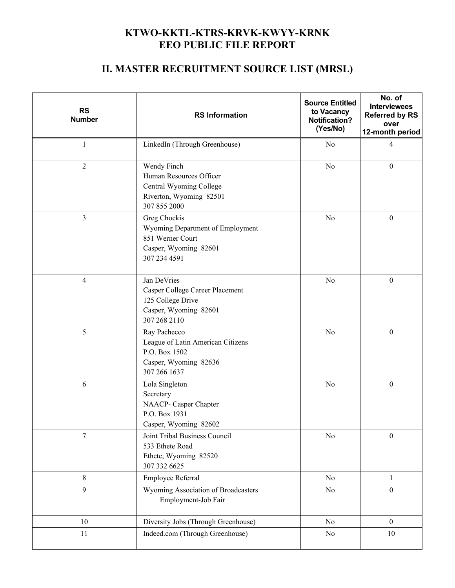## **KTWO-KKTL-KTRS-KRVK-KWYY-KRNK EEO PUBLIC FILE REPORT**

# **II. MASTER RECRUITMENT SOURCE LIST (MRSL)**

| <b>RS</b><br><b>Number</b>                                                                          | <b>RS Information</b>                                                                                         | <b>Source Entitled</b><br>to Vacancy<br><b>Notification?</b><br>(Yes/No) | No. of<br><b>Interviewees</b><br><b>Referred by RS</b><br>over<br>12-month period |
|-----------------------------------------------------------------------------------------------------|---------------------------------------------------------------------------------------------------------------|--------------------------------------------------------------------------|-----------------------------------------------------------------------------------|
| $\mathbf{1}$                                                                                        | LinkedIn (Through Greenhouse)                                                                                 | N <sub>o</sub>                                                           | $\overline{4}$                                                                    |
| $\overline{2}$                                                                                      | Wendy Finch<br>Human Resources Officer<br>Central Wyoming College<br>Riverton, Wyoming 82501<br>307 855 2000  | No                                                                       | $\boldsymbol{0}$                                                                  |
| 3                                                                                                   | Greg Chockis<br>Wyoming Department of Employment<br>851 Werner Court<br>Casper, Wyoming 82601<br>307 234 4591 | N <sub>o</sub>                                                           | $\boldsymbol{0}$                                                                  |
| $\overline{4}$                                                                                      | Jan DeVries<br>Casper College Career Placement<br>125 College Drive<br>Casper, Wyoming 82601<br>307 268 2110  | No                                                                       | $\boldsymbol{0}$                                                                  |
| 5                                                                                                   | Ray Pachecco<br>League of Latin American Citizens<br>P.O. Box 1502<br>Casper, Wyoming 82636<br>307 266 1637   | No                                                                       | $\boldsymbol{0}$                                                                  |
| 6<br>Lola Singleton<br>Secretary<br>NAACP- Casper Chapter<br>P.O. Box 1931<br>Casper, Wyoming 82602 |                                                                                                               | No                                                                       | $\boldsymbol{0}$                                                                  |
| $\overline{7}$                                                                                      | Joint Tribal Business Council<br>533 Ethete Road<br>Ethete, Wyoming 82520<br>307 332 6625                     | No                                                                       | $\mathbf{0}$                                                                      |
| $8\,$                                                                                               | Employee Referral                                                                                             | No                                                                       | $\mathbf{1}$                                                                      |
| 9                                                                                                   | Wyoming Association of Broadcasters<br>Employment-Job Fair                                                    | No                                                                       | $\boldsymbol{0}$                                                                  |
| 10                                                                                                  | Diversity Jobs (Through Greenhouse)                                                                           | No                                                                       | $\boldsymbol{0}$                                                                  |
| 11<br>Indeed.com (Through Greenhouse)                                                               |                                                                                                               | No                                                                       | 10                                                                                |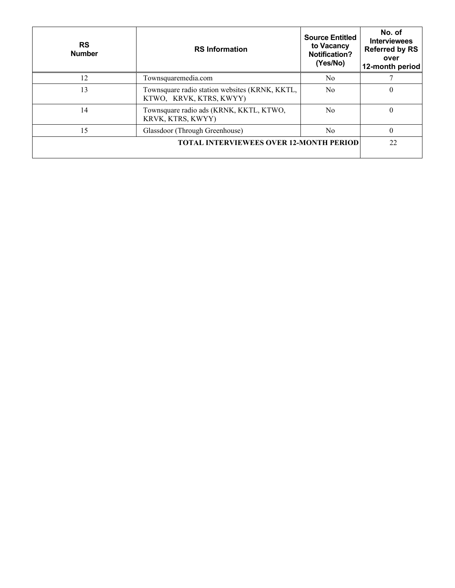| <b>RS</b><br><b>Number</b>                     | <b>RS</b> Information                                                     | <b>Source Entitled</b><br>to Vacancy<br><b>Notification?</b><br>(Yes/No) | No. of<br><b>Interviewees</b><br><b>Referred by RS</b><br>over<br>12-month period |
|------------------------------------------------|---------------------------------------------------------------------------|--------------------------------------------------------------------------|-----------------------------------------------------------------------------------|
| 12                                             | Townsquaremedia.com                                                       | N <sub>0</sub>                                                           |                                                                                   |
| 13                                             | Townsquare radio station websites (KRNK, KKTL,<br>KTWO, KRVK, KTRS, KWYY) | N <sub>0</sub>                                                           | $\theta$                                                                          |
| 14                                             | Townsquare radio ads (KRNK, KKTL, KTWO,<br>KRVK, KTRS, KWYY)              | N <sub>0</sub>                                                           | $\theta$                                                                          |
| 15                                             | Glassdoor (Through Greenhouse)<br>N <sub>0</sub>                          |                                                                          | $\theta$                                                                          |
| <b>TOTAL INTERVIEWEES OVER 12-MONTH PERIOD</b> |                                                                           |                                                                          | 22                                                                                |